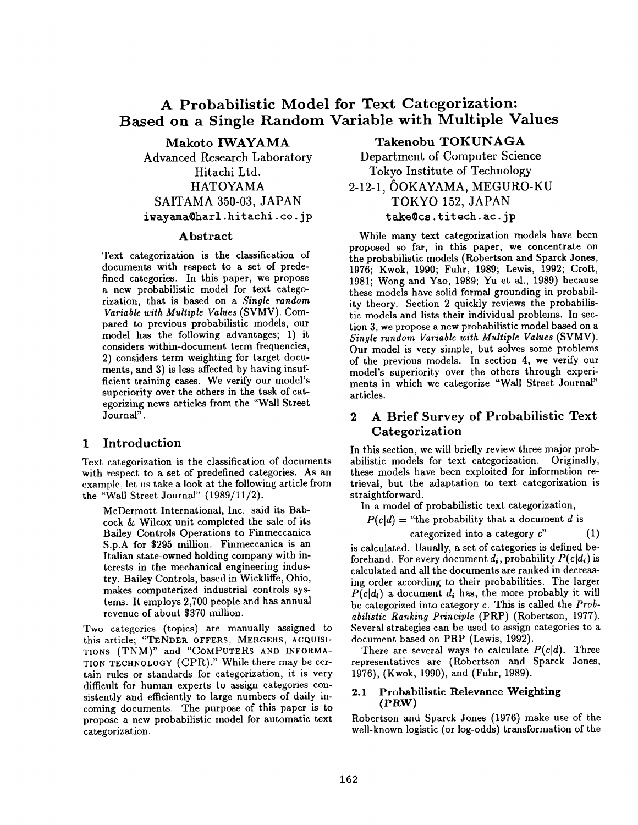# **A Probabilistic Model for Text Categorization: Based on a Single Random Variable with Multiple Values**

Makoto IWAYAMA Advanced Research Laboratory Hitachi Ltd. HATOYAMA SAITAMA 350-03, JAPAN iwayama@harl.hitachi.co.jp

#### Abstract

Text categorization is the classification of documents with respect to a set of predefined categories. In this paper, we propose a new probabilistic model for text categorization, that is based on a *Single random Variable with Multiple Values* (SVMV). Compared to previous probabilistic models, our model has the following advantages; 1) it considers within-document term frequencies, 2) considers term weighting for target documents, and 3) is less affected by having insufficient training cases. We verify our model's superiority over the others in the task of categorizing news articles from the "Wall Street Journal".

### **1** Introduction

Text categorization is the classification of documents with respect to a set of predefined categories. As an example, let us take a look at the following article from the "Wall Street Journal" (1989/11/2).

McDermott International, Inc. said its Babcock & Wilcox unit completed the sale of its Bailey Controls Operations to Finmeccanica S.p.A for \$295 million. Finmeccanica is an Italian state-owned holding company with interests in the mechanical engineering industry. Bailey Controls, based in Wickliffe, Ohio, makes computerized industrial controls systems. It employs 2,700 people and has annual revenue of about \$370 million.

Two categories (topics) are manually assigned to this article; "TENDER OFFERS, MERGERS, ACQUISI-TIONS (TNM)" and *"COMPUTERS* AND INFORMA-TION TECHNOLOGY (CPK)." While there may be certain rules or standards for categorization, it is very difficult for human experts to assign categories consistently and efficiently to large numbers of daily incoming documents. The purpose of this paper is to propose a new probabilistic model for automatic text categorization.

Takenobu TOKUNAGA Department of Computer Science Tokyo Institute of Technology 2-12-1, OOKAYAMA, MEGURO-KU

> TOKYO 152, JAPAN take@cs.titech.ac.jp

While many text categorization models have been proposed so far, in this paper, we concentrate on the probabilistic models (Robertson and Sparck Jones, 1976; Kwok, 1990; Fuhr, 1989; Lewis, 1992; Croft, 1981; Wong and Yao, 1989; Yu et al., 1989) because these models have solid formal grounding in probability theory. Section 2 quickly reviews the probabilistic models and lists their individual problems. In section 3, we propose a new probabilistic model based on a *Single random Variable with Multiple Values* (SVMV). Our model is very simple, but solves some problems of the previous models. In section 4, we verify our model's superiority over the others through experiments in which we categorize "Wall Street Journal" articles.

# **2 A Brief Survey of Probabilistic Text Categorization**

In this section, we will briefly review three major probabilistic models for text categorization. Originally, these models have been exploited for information retrieval, but the adaptation to text categorization is straightforward.

In a model of probabilistic text categorization,

 $P(cl] =$  "the probability that a document d is

categorized into a category  $c$ " (1)

is calculated. Usually, a set of categories is defined beforehand. For every document  $d_i$ , probability  $P(c|d_i)$  is calculated and all the documents are ranked in decreasing order according to their probabilities. The larger  $P(c|d_i)$  a document  $d_i$  has, the more probably it will be categorized into category c. This is called the *Probabilistic Ranking Principle* (PRP) (Robertson, 1977). Several strategies can be used to assign categories to a document based on PRP (Lewis, 1992).

There are several ways to calculate *P(c[d).* Three representatives are (Robertson and Sparck Jones, 1976), (Kwok, 1990), and (Fuhr, 1989).

#### 2.1 Probabilistic Relevance Weighting (PRW)

Robertson and Sparck Jones (1976) make use of the well-known logistic (or log-odds) transformation of the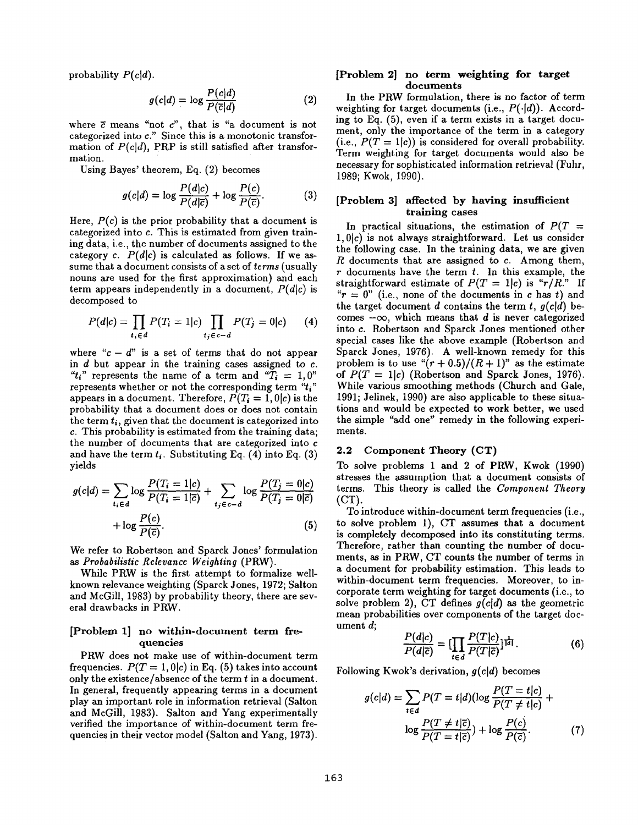probability *P(c]d).* 

$$
g(c|d) = \log \frac{P(c|d)}{P(\overline{c}|d)} \tag{2}
$$

where  $\bar{c}$  means "not  $c$ ", that is "a document is not categorized into c." Since this is a monotonic transformation of  $P(c|d)$ , PRP is still satisfied after transformation.

Using Bayes' theorem, Eq. (2) becomes

$$
g(c|d) = \log \frac{P(d|c)}{P(d|\overline{c})} + \log \frac{P(c)}{P(\overline{c})}.
$$
 (3)

Here,  $P(c)$  is the prior probability that a document is categorized into c. This is estimated from given training data, i.e., the number of documents assigned to the category *c.*  $P(d|c)$  is calculated as follows. If we assume that a document consists of a set of *terms* (usually nouns are used for the first approximation) and each term appears independently in a document,  $P(d|c)$  is decomposed to

$$
P(d|c) = \prod_{t_i \in d} P(T_i = 1|c) \prod_{t_j \in c - d} P(T_j = 0|c) \qquad (4)
$$

where " $c - d$ " is a set of terms that do not appear in  $d$  but appear in the training cases assigned to  $c$ . " $t_i$ " represents the name of a term and " $T_i = 1, 0$ " represents whether or not the corresponding term  $t_i$ " appears in a document. Therefore,  $P(T_i = 1, 0|c)$  is the probability that a document does or does not contain the term  $t_i$ , given that the document is categorized into c. This probability is estimated from the training data; the number of documents that are categorized into c and have the term  $t_i$ . Substituting Eq. (4) into Eq. (3) yields

$$
g(c|d) = \sum_{i_i \in d} \log \frac{P(T_i = 1|c)}{P(T_i = 1|\overline{c})} + \sum_{i_j \in c - d} \log \frac{P(T_j = 0|c)}{P(T_j = 0|\overline{c})} + \log \frac{P(c)}{P(\overline{c})}.
$$
\n
$$
(5)
$$

We refer to Robertson and Sparck Jones' formulation *as Probabilistic Relevance Weighting* (PRW).

While PRW is the first attempt to formalize wellknown relevance weighting (Sparck Jones, 1972; Salton and McGill, 1983) by probability theory, there are several drawbacks in PRW.

#### [Problem 1] **no within-document** term frequencies

PRW does not make use of within-document term frequencies.  $P(T = 1, 0|c)$  in Eq. (5) takes into account only the existence/absence of the term t in a document. In general, frequently appearing terms in a document play an important role in information retrieval (Salton and McGill, 1983). Salton and Yang experimentally verified the importance of within-document term frequencies in their vector model (Salton and Yang, 1973).

#### **[Problem 2] no term weighting for target documents**

In the PRW formulation, there is no factor of term weighting for target documents (i.e.,  $P(\cdot|d)$ ). According to Eq. (5), even if a term exists in a target document, only the importance of the term in a category (i.e.,  $P(T = 1|c)$ ) is considered for overall probability. Term weighting for target documents would also be necessary for sophisticated information retrieval (Fuhr, 1989; Kwok, 1990).

#### [Problem 3] affected by having **insufficient training** cases

In practical situations, the estimation of  $P(T =$  $1, 0|c$  is not always straightforward. Let us consider the following case. In the training data, we are given  $R$  documents that are assigned to  $c$ . Among them,  $r$  documents have the term  $t$ . In this example, the straightforward estimate of  $P(T = 1|c)$  is " $r/R$ ." If " $r = 0$ " (i.e., none of the documents in c has t) and the target document d contains the term t,  $g(c|d)$  becomes  $-\infty$ , which means that d is never categorized into c. Robertson and Sparck Jones mentioned other special cases like the above example (Robertson and Sparck Jones, 1976). A well-known remedy for this problem is to use  $\binom{n}{r+0.5}/(R+1)$  as the estimate of  $P(T = 1|c)$  (Robertson and Sparck Jones, 1976). While various smoothing methods (Church and Gale, 1991; Jelinek, 1990) are also applicable to these situations and would be expected to work better, we used the simple "add one" remedy in the following experiments.

#### 2.2 Component Theory (CT)

To solve problems 1 and 2 of PRW, Kwok (1990) stresses the assumption that a document consists of terms. This theory is called the *Component Theory*  (CT).

To introduce within-document term frequencies (i.e., to solve problem 1), CT assumes that a document is completely decomposed **into its** constituting terms. Therefore, rather than counting the number of documents, as in PRW, CT counts the number of terms in a document for probability estimation. This leads to within-document term frequencies. Moreover, to incorporate term weighting for target documents (i.e., to solve problem 2), CT defines  $g(c|d)$  as the geometric mean probabilities over components of the target document d;

$$
\frac{P(d|c)}{P(d|\overline{c})} = \left[\prod_{t \in d} \frac{P(T|c)}{P(T|\overline{c})}\right]^{\frac{1}{|d|}}.\tag{6}
$$

Following Kwok's derivation, *g(cld)* becomes

$$
g(c|d) = \sum_{t \in d} P(T = t|d)(\log \frac{P(T = t|c)}{P(T \neq t|c)} + \log \frac{P(T \neq t|\overline{c})}{P(T = t|\overline{c})}) + \log \frac{P(c)}{P(\overline{c})}.
$$
 (7)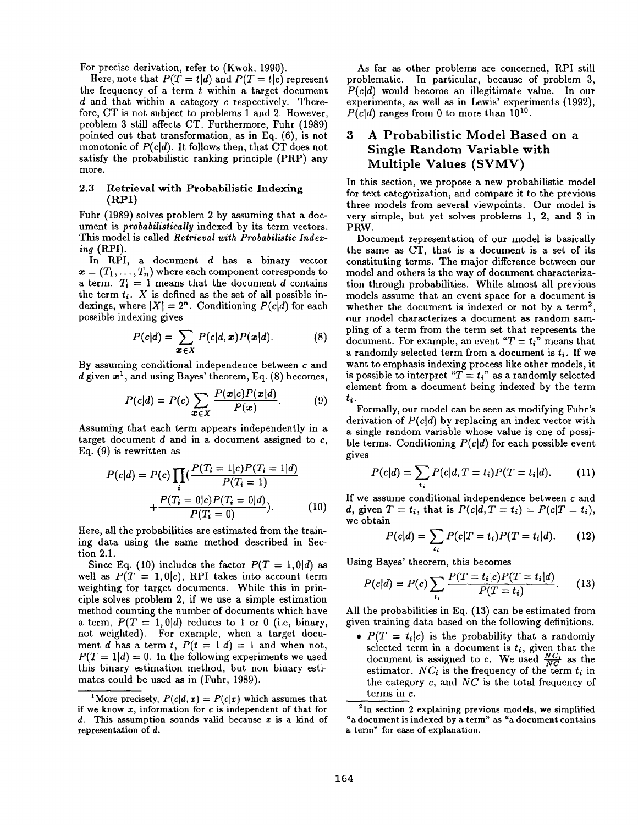For precise derivation, refer to (Kwok, 1990).

Here, note that  $P(T = t|d)$  and  $P(T = t|c)$  represent the frequency of a term  $t$  within a target document  $d$  and that within a category  $c$  respectively. Therefore, CT is not subject to problems 1 and 2. However, problem 3 still affects CT. Furthermore, Fuhr (1989) pointed out that transformation, as in Eq. (6), is not monotonic of  $P(c|d)$ . It follows then, that CT does not satisfy the probabilistic ranking principle (PRP) any more.

#### 2.3 Retrieval with Probabilistic Indexing **(RPI)**

Fuhr (1989) solves problem 2 by assuming that a document is *probabilistically* indexed by its term vectors. This model is called *Retrieval with Probabilistie Indexing* (RPI).

In RPI, a document d has a binary vector  $\mathbf{x} = (T_1,\ldots,T_n)$  where each component corresponds to a term.  $T_i = 1$  means that the document d contains the term  $t_i$ . X is defined as the set of all possible indexings, where  $|X| = 2<sup>n</sup>$ . Conditioning  $P(c|d)$  for each possible indexing gives

$$
P(c|d) = \sum_{\boldsymbol{x} \in X} P(c|d, \boldsymbol{x}) P(\boldsymbol{x}|d). \tag{8}
$$

By assuming conditional independence between c and d given  $x^1$ , and using Bayes' theorem, Eq. (8) becomes,

$$
P(c|d) = P(c) \sum_{\boldsymbol{x} \in \boldsymbol{X}} \frac{P(\boldsymbol{x}|c) P(\boldsymbol{x}|d)}{P(\boldsymbol{x})}.
$$
 (9)

Assuming that each term appears independently in a target document  $d$  and in a document assigned to  $c$ , Eq. (9) is rewritten as

$$
P(c|d) = P(c) \prod_{i} \left( \frac{P(T_i = 1|c)P(T_i = 1|d)}{P(T_i = 1)} + \frac{P(T_i = 0|c)P(T_i = 0|d)}{P(T_i = 0)} \right)
$$
(10)

Here, all the probabilities are estimated from the training data using the same method described in Section 2.1.

Since Eq. (10) includes the factor  $P(T = 1, 0|d)$  as well as  $P(T = 1, 0|c)$ , RPI takes into account term weighting for target documents. While this in principle solves problem 2, if we use a simple estimation method counting the number of documents which have a term,  $P(T = 1, 0|d)$  reduces to 1 or 0 (i.e, binary, not weighted). For example, when a target document d has a term t,  $P(t = 1|d) = 1$  and when not,  $P(T = 1|d) = 0$ . In the following experiments we used this binary estimation method, but non binary estimates could be used as in (Fuhr, 1989).

As far as other problems are concerned, RPI still problematic. In particular, because of problem 3, *P(cld)* would become an illegitimate value. In our experiments, as well as in Lewis' experiments (1992),  $P(cld)$  ranges from 0 to more than  $10^{10}$ .

# 3 A Probabilistic Model Based on a Single Random Variable with Multiple Values (SVMV)

In this section, we propose a new probabilistic model for text categorization, and compare it to the previous three models from several viewpoints. Our model is very simple, but yet solves problems 1, 2, and 3 in PRW.

Document representation of our model is basically the same as CT, that is a document is a set of its constituting terms. The major difference between our model and others is the way of document characterization through probabilities. While almost all previous models assume that an event space for a document is whether the document is indexed or not by a term<sup>2</sup>, our model characterizes a document as random sampling of a term from the term set that represents the document. For example, an event " $T = t_i$ " means that a randomly selected term from a document is  $t_i$ . If we want to emphasis indexing process like other models, it is possible to interpret  $T = t_i$  as a randomly selected element from a document being indexed by the term ti.

Formally, our model can be seen as modifying Fuhr's derivation of *P(c|d)* by replacing an index vector with a single random variable whose value is one of possible terms. Conditioning  $P(cl)$  for each possible event gives

$$
P(c|d) = \sum_{t_i} P(c|d, T = t_i) P(T = t_i|d). \tag{11}
$$

If we assume conditional independence between c and d, given  $T = t_i$ , that is  $P(c|d, T = t_i) = P(c|T = t_i)$ , we obtain

$$
P(c|d) = \sum_{t_i} P(c|T = t_i) P(T = t_i|d). \tag{12}
$$

Using Bayes' theorem, this becomes

$$
P(c|d) = P(c) \sum_{t_i} \frac{P(T = t_i|c)P(T = t_i|d)}{P(T = t_i)}.
$$
 (13)

All the probabilities in Eq. (13) can be estimated from given training data based on the following definitions.

•  $P(T = t_i|c)$  is the probability that a randomly selected term in a document is  $t_i$ , given that the document is assigned to c. We used  $\frac{N}{N}$  as the estimator.  $NC_i$  is the frequency of the term  $t_i$  in the category c, and *NC* is the total frequency of terms in c.

<sup>2</sup>In section 2 explaining previous models, we simplified "a document is indexed by a term" as "a document contains a term" for ease of explanation.

<sup>&</sup>lt;sup>1</sup>More precisely,  $P(c|d, x) = P(c|x)$  which assumes that if we know  $x$ , information for  $c$  is independent of that for  $d.$  This assumption sounds valid because x is a kind of representation of d.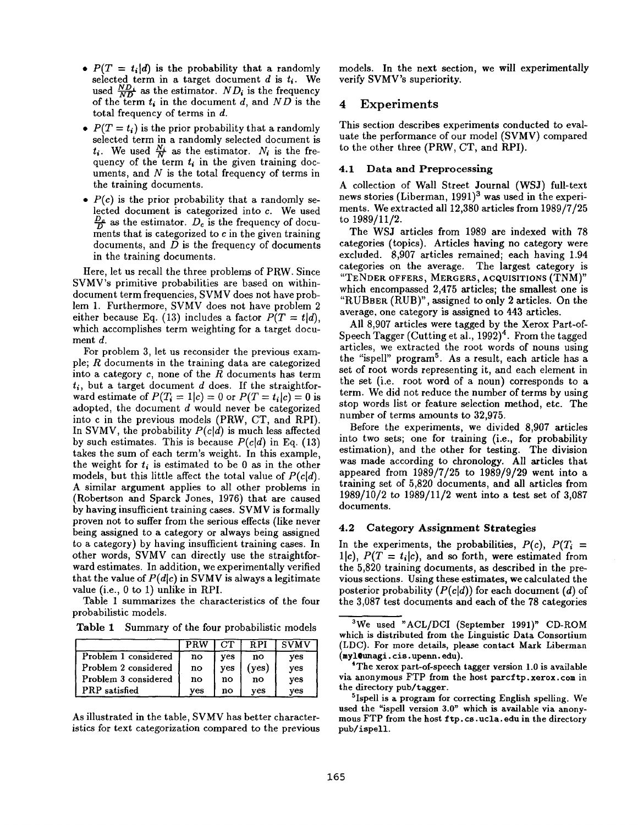- $P(T = t_i | d)$  is the probability that a randomly selected term in a target document  $d$  is  $t_i$ . We used  $\frac{ND_i}{ND}$  as the estimator.  $ND_i$  is the frequency of the term *ti* in the document d, and *ND* is the total frequency of terms in d.
- $P(T = t_i)$  is the prior probability that a randomly selected term in a randomly selected document is  $t_i$ . We used  $\frac{N_i}{N}$  as the estimator.  $N_i$  is the frequency of the term  $t_i$  in the given training documents, and  $N$  is the total frequency of terms in the training documents.
- *P(c)* is the prior probability that a randomly selected document is categorized into c. We used  $\frac{D_c}{D}$  as the estimator.  $D_c$  is the frequency of documents that is categorized to  $c$  in the given training documents, and  $D$  is the frequency of documents in the training documents.

Here, let us recall the three problems of PRW. Since SVMV's primitive probabilities are based on withindocument term frequencies, SVMV does not have problem 1. Furthermore, SVMV does not have problem 2 either because Eq. (13) includes a factor  $P(T = t|d)$ , which accomplishes term weighting for a target document d.

For problem 3, let us reconsider the previous example;  $R$  documents in the training data are categorized into a category  $c$ , none of the  $R$  documents has term  $t_i$ , but a target document  $d$  does. If the straightforward estimate of  $P(T_i = 1|c) = 0$  or  $P(T = t_i|c) = 0$  is adopted, the document  $d$  would never be categorized into c in the previous models (PRW, CT, and RPI). In SVMV, the probability  $P(c|d)$  is much less affected by such estimates. This is because  $P(c|d)$  in Eq. (13) takes the sum of each term's weight. In this example, the weight for  $t_i$  is estimated to be 0 as in the other models, but this little affect the total value of  $P(cl)$ . A similar argument applies to all other problems in (Robertson and Sparck Jones, 1976) that are caused by having insufficient training cases. SVMV is formally proven not to suffer from the serious effects (like never being assigned to a category or always being assigned to a category) by having insufficient training cases. In other words, SVMV can directly use the straightforward estimates. In addition, we experimentally verified that the value of  $P(d|c)$  in SVMV is always a legitimate value (i.e., 0 to 1) unlike in RPI.

Table 1 summarizes the characteristics of the four probabilistic models.

Table 1 Summary of the four probabilistic models

|                        | PRW | CT  | R PI  | <b>SVMV</b> |
|------------------------|-----|-----|-------|-------------|
| Problem 1 considered   | no  | ves | no    | ves         |
| l Problem 2 considered | no  | ves | (ves) | ves         |
| Problem 3 considered   | no  | no  | no    | ves         |
| <b>PRP</b> satisfied   | ves | no  | ves   | ves         |

As illustrated in the table, SVMV has better characteristics for text categorization compared to the previous models. In the next section, we will experimentally verify SVMV's superiority.

#### 4 Experiments

This section describes experiments conducted to evaluate the performance of our model (SVMV) compared to the other three (PRW, CT, and RPI).

#### 4.1 **Data and** Preprocessing

A collection of Wall Street Journal (WSJ) full-text news stories (Liberman, 1991)<sup>3</sup> was used in the experiments. We extracted all 12,380 articles from 1989/7/25 to 1989/11/2.

The WSJ articles from 1989 are indexed with 78 categories (topics). Articles having no category were excluded. 8,907 articles remained; each having 1.94 categories on the average. The largest category is "TENDER OFFERS, MERGERS, ACQUISITIONS (TNM)" which encompassed 2,475 articles; the smallest one is "RUBBER (RUB)", assigned to only 2 articles. On the average, one category is assigned to 443 articles.

All 8,907 articles were tagged by the Xerox Part-of-Speech Tagger (Cutting et al., 1992)<sup>4</sup>. From the tagged articles, we extracted the root words of nouns using the "ispell" program<sup>5</sup>. As a result, each article has a set of root words representing it, and each element in the set (i.e. root word of a noun) corresponds to a term. We did not reduce the number of terms by using stop words list or feature selection method, etc. The number of terms amounts to 32,975.

Before the experiments, we divided 8,907 articles into two sets; one for training (i.e., for probability estimation), and the other for testing. The division was made according to chronology. All articles that appeared from  $1989/7/25$  to  $1989/9/29$  went into a training set of 5,820 documents, and all articles from 1989/10/2 to 1989/11/2 went into a test set of 3,087 documents.

#### 4.2 Category Assignment **Strategies**

In the experiments, the probabilities,  $P(c)$ ,  $P(T_i =$  $1|c$ ,  $P(T = t<sub>i</sub>|c)$ , and so forth, were estimated from the 5,820 training documents, as described in the previous sections. Using these estimates, we calculated the posterior probability *(P(cld))* for each document (d) of the 3,087 test documents and each of the 78 categories

<sup>3</sup>We used "ACL/DCI (September 1991)" CD-ROM which is distributed from the Linguistic Data Consortium (LDC). For more details, please contact Mark Liberman (myl@lmagi. cis. upena, edu).

<sup>4</sup>The xerox part-of-speech tagger version 1.0 is available via anonymous FTP from the host parcftp.xerox.com in the directory pub/tagger.

<sup>5</sup>Ispell is a program for correcting English spelling. We used the "ispell version 3.0" which is available via anonymous FTP from the host ftp. cs.ucla. edu in the directory pub/ispell.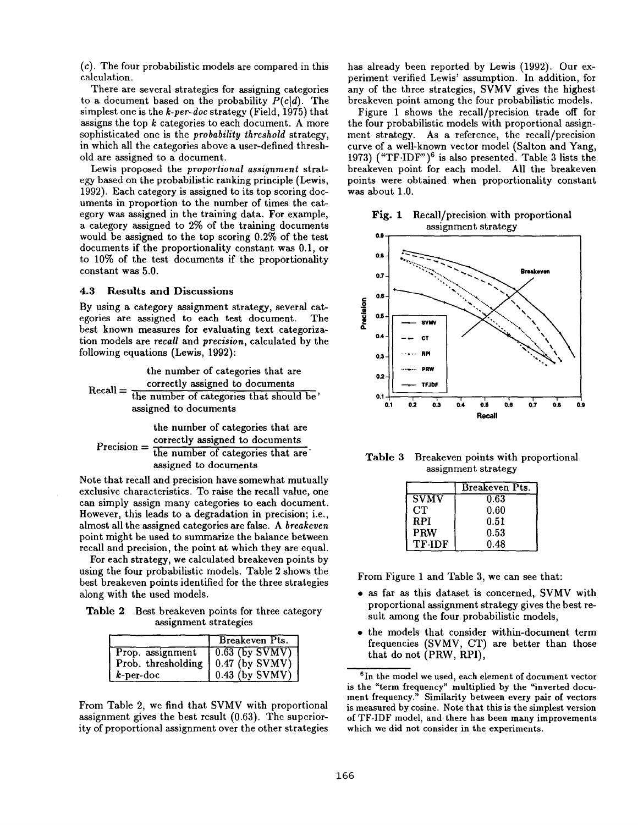(c). The four probabilistic models are compared in this calculation.

There are several strategies for assigning categories to a document based on the probability  $P(c|d)$ . The simplest one is the *k-per-doc* strategy (Field, 1975) that assigns the top  $k$  categories to each document. A more sophisticated one is the *probability threshold* strategy, in which all the categories above a user-defined threshold are assigned to a document.

Lewis proposed the *proportional assignment* strategy based on the probabilistic ranking principle (Lewis, 1992). Each category is assigned to its top scoring documents in proportion to the number of times the category was assigned in the training data. For example, a category assigned to 2% of the training documents would be assigned to the top scoring 0.2% of the test documents if the proportionality constant was 0.1, or to 10% of the test documents if the proportionality constant was 5.0.

#### **4.3 Results and Discussions**

By using a category assignment strategy, several categories are assigned to each test document. The best known measures for evaluating text categorization models are *recall* and *precision,* calculated by the following equations (Lewis, 1992):

the number of categories that are  $Recall = \frac{correctly assigned to documents}{1}$ the number of categories that should be' assigned to documents

the number of categories that are  $P_{\text{receision}} = \frac{\text{correctly assigned to documents}}{\text{errored}}$ the number of categories that are assigned to documents

Note that recall and precision have somewhat mutually exclusive characteristics. To raise the recall value, one can simply assign many categories to each document. However, this leads to a degradation in precision; i.e., almost all the assigned categories are false. A *breakeven*  point might be used to summarize the balance between recall and precision, the point at which they are equal.

For each strategy, we calculated breakeven points by using the four probabilistic models. Table 2 shows the best breakeven points identified for the three strategies along with the used models.

Table 2 Best breakeven points for three category assignment strategies

|                    | Breakeven Pts.                  |  |
|--------------------|---------------------------------|--|
| Prop. assignment   | $\sqrt{0.63 \text{ (by SVMV)}}$ |  |
| Prob. thresholding | $\vert 0.47$ (by SVMV)          |  |
| $k$ -per-doc       | $0.43$ (by SVMV)                |  |

From Table 2, we find that SVMV with proportional assignment gives the best result (0.63). The superiority of proportional assignment over the other strategies has already been reported by Lewis (1992). Our experiment verified Lewis' assumption. In addition, for any of the three strategies, SVMV gives the highest breakeven point among the four probabilistic models.

Figure 1 shows the recall/precision trade off for the four probabilistic models with proportional assignment strategy. As a reference, the recall/precision curve of a well-known vector model (Salton and Yang, 1973) ("TF $\cdot$ IDF")<sup>6</sup> is also presented. Table 3 lists the breakeven point for each model. All the breakeven points were obtained when proportionality constant was about 1.0.

**Fig. 1**  Recall/precision with proportional assignment strategy



Table 3 Breakeven points with proportional assignment strategy

|               | Breakeven Pts. |
|---------------|----------------|
| <b>SVMV</b>   | 0.63           |
| <b>CT</b>     | 0.60           |
| RPI.          | 0.51           |
| <b>PRW</b>    | 0.53           |
| <b>TF-IDF</b> | 0.48           |

From Figure 1 and Table 3, we can see that:

- as far as this dataset is concerned, SVMV with proportional assignment strategy gives the best result among the four probabilistic models,
- the models that consider within-document term frequencies (SVMV, CT) are better than those that do not (PRW, RPI),

 $6$ In the model we used, each element of document vector **is** the "term frequency" multiplied by the "inverted document frequency." Similarity between every pair of vectors is measured by cosine. Note that this is the simplest version of TF.IDF model, and there has been many improvements which we did not consider in the experiments.